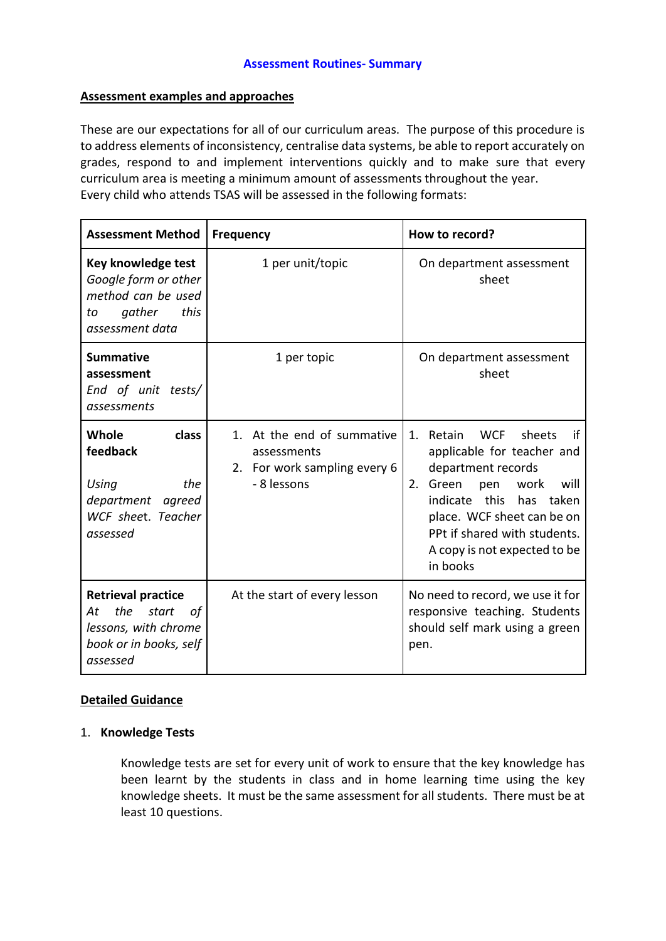## **Assessment examples and approaches**

These are our expectations for all of our curriculum areas. The purpose of this procedure is to address elements of inconsistency, centralise data systems, be able to report accurately on grades, respond to and implement interventions quickly and to make sure that every curriculum area is meeting a minimum amount of assessments throughout the year. Every child who attends TSAS will be assessed in the following formats:

| <b>Assessment Method</b>                                                                                            | <b>Frequency</b>                                                                         | How to record?                                                                                                                                                                                                                                                               |
|---------------------------------------------------------------------------------------------------------------------|------------------------------------------------------------------------------------------|------------------------------------------------------------------------------------------------------------------------------------------------------------------------------------------------------------------------------------------------------------------------------|
| Key knowledge test<br>Google form or other<br>method can be used<br>gather<br>this<br>to<br>assessment data         | 1 per unit/topic                                                                         | On department assessment<br>sheet                                                                                                                                                                                                                                            |
| <b>Summative</b><br>assessment<br>End of unit tests/<br>assessments                                                 | 1 per topic                                                                              | On department assessment<br>sheet                                                                                                                                                                                                                                            |
| class<br>Whole<br>feedback<br>Using<br>the<br>department agreed<br>WCF sheet. Teacher<br>assessed                   | 1. At the end of summative<br>assessments<br>2. For work sampling every 6<br>- 8 lessons | <b>WCF</b><br>sheets<br>1.<br>Retain<br>if<br>applicable for teacher and<br>department records<br>Green<br>2.<br>pen<br>work<br>will<br>indicate<br>this has taken<br>place. WCF sheet can be on<br>PPt if shared with students.<br>A copy is not expected to be<br>in books |
| <b>Retrieval practice</b><br>the<br>At<br>start<br>οf<br>lessons, with chrome<br>book or in books, self<br>assessed | At the start of every lesson                                                             | No need to record, we use it for<br>responsive teaching. Students<br>should self mark using a green<br>pen.                                                                                                                                                                  |

# **Detailed Guidance**

# 1. **Knowledge Tests**

Knowledge tests are set for every unit of work to ensure that the key knowledge has been learnt by the students in class and in home learning time using the key knowledge sheets. It must be the same assessment for all students. There must be at least 10 questions.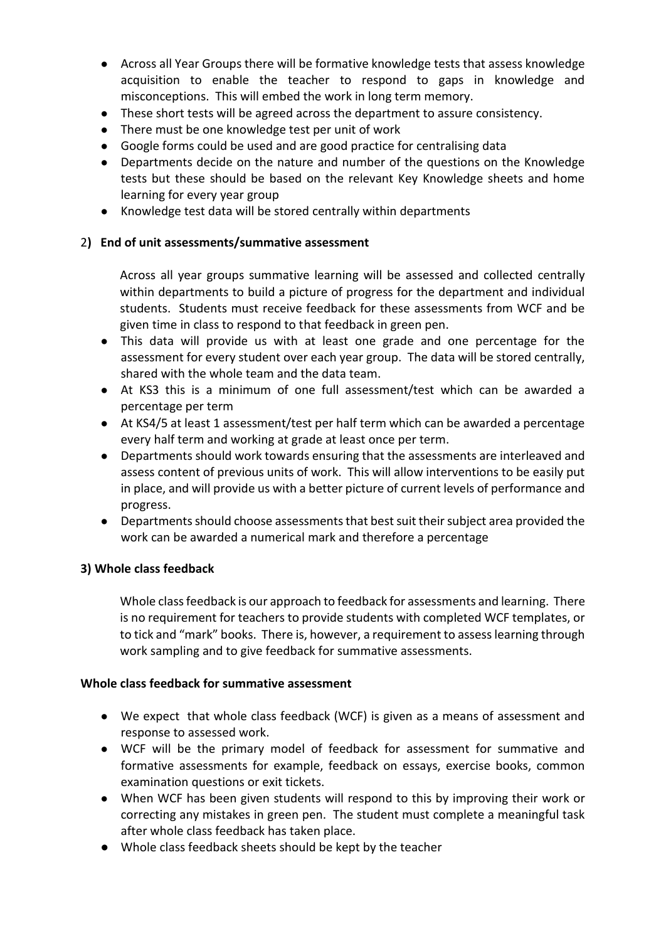- Across all Year Groups there will be formative knowledge tests that assess knowledge acquisition to enable the teacher to respond to gaps in knowledge and misconceptions. This will embed the work in long term memory.
- These short tests will be agreed across the department to assure consistency.
- There must be one knowledge test per unit of work
- Google forms could be used and are good practice for centralising data
- Departments decide on the nature and number of the questions on the Knowledge tests but these should be based on the relevant Key Knowledge sheets and home learning for every year group
- Knowledge test data will be stored centrally within departments

## 2**) End of unit assessments/summative assessment**

Across all year groups summative learning will be assessed and collected centrally within departments to build a picture of progress for the department and individual students. Students must receive feedback for these assessments from WCF and be given time in class to respond to that feedback in green pen.

- This data will provide us with at least one grade and one percentage for the assessment for every student over each year group. The data will be stored centrally, shared with the whole team and the data team.
- At KS3 this is a minimum of one full assessment/test which can be awarded a percentage per term
- At KS4/5 at least 1 assessment/test per half term which can be awarded a percentage every half term and working at grade at least once per term.
- Departments should work towards ensuring that the assessments are interleaved and assess content of previous units of work. This will allow interventions to be easily put in place, and will provide us with a better picture of current levels of performance and progress.
- Departments should choose assessments that best suit their subject area provided the work can be awarded a numerical mark and therefore a percentage

#### **3) Whole class feedback**

Whole class feedback is our approach to feedback for assessments and learning. There is no requirement for teachers to provide students with completed WCF templates, or to tick and "mark" books. There is, however, a requirement to assess learning through work sampling and to give feedback for summative assessments.

#### **Whole class feedback for summative assessment**

- We expect that whole class feedback (WCF) is given as a means of assessment and response to assessed work.
- WCF will be the primary model of feedback for assessment for summative and formative assessments for example, feedback on essays, exercise books, common examination questions or exit tickets.
- When WCF has been given students will respond to this by improving their work or correcting any mistakes in green pen. The student must complete a meaningful task after whole class feedback has taken place.
- Whole class feedback sheets should be kept by the teacher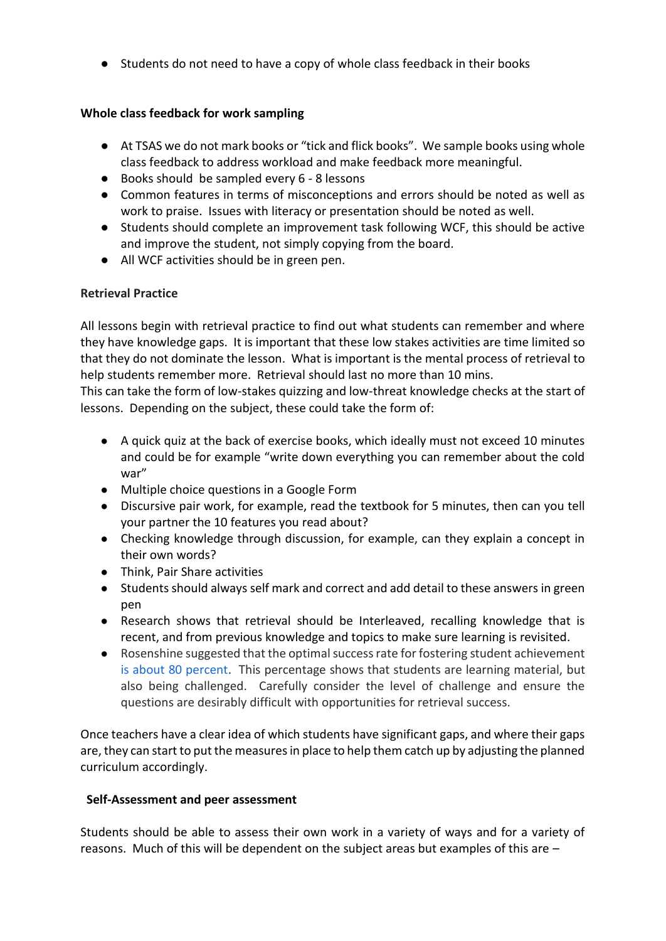● Students do not need to have a copy of whole class feedback in their books

# **Whole class feedback for work sampling**

- At TSAS we do not mark books or "tick and flick books". We sample books using whole class feedback to address workload and make feedback more meaningful.
- Books should be sampled every 6 8 lessons
- Common features in terms of misconceptions and errors should be noted as well as work to praise. Issues with literacy or presentation should be noted as well.
- Students should complete an improvement task following WCF, this should be active and improve the student, not simply copying from the board.
- All WCF activities should be in green pen.

# **Retrieval Practice**

All lessons begin with retrieval practice to find out what students can remember and where they have knowledge gaps. It is important that these low stakes activities are time limited so that they do not dominate the lesson. What is important is the mental process of retrieval to help students remember more. Retrieval should last no more than 10 mins.

This can take the form of low-stakes quizzing and low-threat knowledge checks at the start of lessons. Depending on the subject, these could take the form of:

- A quick quiz at the back of exercise books, which ideally must not exceed 10 minutes and could be for example "write down everything you can remember about the cold war"
- Multiple choice questions in a Google Form
- Discursive pair work, for example, read the textbook for 5 minutes, then can you tell your partner the 10 features you read about?
- Checking knowledge through discussion, for example, can they explain a concept in their own words?
- Think, Pair Share activities
- Students should always self mark and correct and add detail to these answers in green pen
- Research shows that retrieval should be Interleaved, recalling knowledge that is recent, and from previous knowledge and topics to make sure learning is revisited.
- Rosenshine suggested that the optimal success rate for fostering student achievement [is about 80 percent.](https://blog.innerdrive.co.uk/rosenshine-seventh-principle-of-instruction) This percentage shows that students are learning material, but also being challenged. Carefully consider the level of challenge and ensure the questions are desirably difficult with opportunities for retrieval success.

Once teachers have a clear idea of which students have significant gaps, and where their gaps are, they can start to put the measures in place to help them catch up by adjusting the planned curriculum accordingly.

# **Self-Assessment and peer assessment**

Students should be able to assess their own work in a variety of ways and for a variety of reasons. Much of this will be dependent on the subject areas but examples of this are –